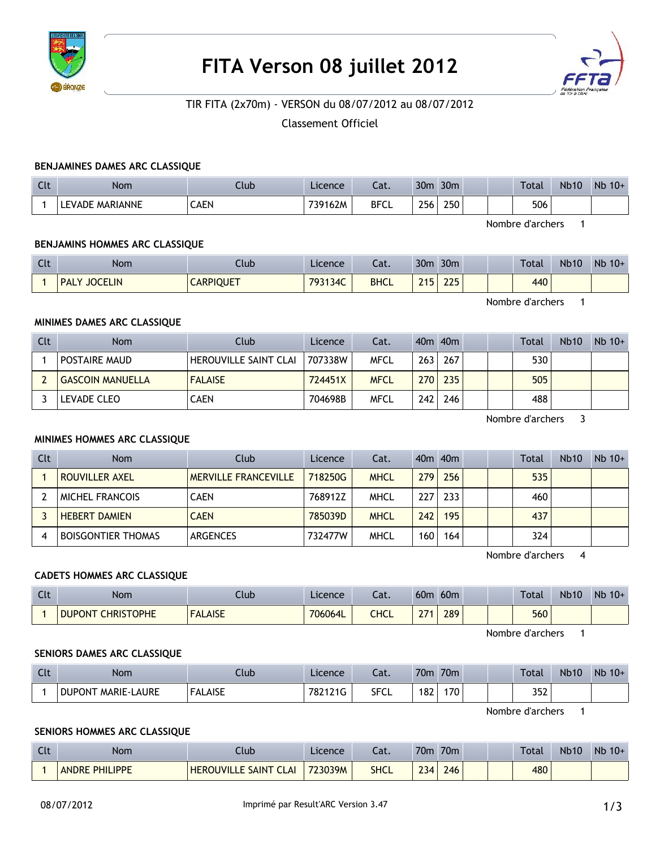

# **FITA Verson 08 juillet 2012**



# TIR FITA (2x70m) - VERSON du 08/07/2012 au 08/07/2012

Classement Officiel

#### **BENJAMINES DAMES ARC CLASSIQUE**

| $\Gamma$<br>uu | Nom             | Ilub | Licence | $\sim$<br>cal. | 30 <sub>m</sub> | 30 <sub>m</sub> | <b>Total</b> | <b>Nb10</b> | Nb<br>$10+$ |
|----------------|-----------------|------|---------|----------------|-----------------|-----------------|--------------|-------------|-------------|
|                | LEVADE MARIANNE | CAEN | 739162M | <b>BFCL</b>    | 256             | 250             | 506          |             |             |

Nombre d'archers 1

## **BENJAMINS HOMMES ARC CLASSIQUE**

| $\Gamma$<br><b>ULL</b> | <b>Nom</b>                    | Club             | Licence | Lat.        | 30 <sub>m</sub> | 30 <sub>m</sub>    |  | <b>Total</b> | <b>Nb10</b> | $Nb$ 10+ |
|------------------------|-------------------------------|------------------|---------|-------------|-----------------|--------------------|--|--------------|-------------|----------|
|                        | <b>JOCELIN</b><br><b>PALY</b> | <b>CARPIQUET</b> | 793134C | <b>BHCL</b> | 24E             | 225<br><u>__ _</u> |  | 440          |             |          |

Nombre d'archers 1

#### **MINIMES DAMES ARC CLASSIQUE**

| Clt | <b>Nom</b>              | Club                         | Licence | Cat.        |     | $40m$ $40m$ |  | Total | <b>Nb10</b> | $Nb 10+$ |
|-----|-------------------------|------------------------------|---------|-------------|-----|-------------|--|-------|-------------|----------|
|     | POSTAIRE MAUD           | <b>HEROUVILLE SAINT CLAI</b> | 707338W | <b>MFCL</b> | 263 | 267         |  | 530   |             |          |
|     | <b>GASCOIN MANUELLA</b> | <b>FALAISE</b>               | 724451X | <b>MFCL</b> |     | 270 235     |  | 505   |             |          |
|     | LEVADE CLEO             | CAEN                         | 704698B | <b>MFCL</b> | 242 | 246         |  | 488   |             |          |

Nombre d'archers 3

## **MINIMES HOMMES ARC CLASSIQUE**

| Clt | <b>Nom</b>                | Club                        | Licence | Cat.        |     | $40m$ $40m$ |  | Total | <b>Nb10</b> | $Nb$ 10+ |
|-----|---------------------------|-----------------------------|---------|-------------|-----|-------------|--|-------|-------------|----------|
|     | <b>ROUVILLER AXEL</b>     | <b>MERVILLE FRANCEVILLE</b> | 718250G | <b>MHCL</b> | 279 | 256         |  | 535   |             |          |
|     | <b>MICHEL FRANCOIS</b>    | CAEN                        | 768912Z | MHCL        | 227 | 233         |  | 460   |             |          |
|     | <b>HEBERT DAMIEN</b>      | <b>CAEN</b>                 | 785039D | <b>MHCL</b> | 242 | 195         |  | 437   |             |          |
|     | <b>BOISGONTIER THOMAS</b> | ARGENCES                    | 732477W | <b>MHCL</b> | 160 | 164         |  | 324   |             |          |

Nombre d'archers 4

#### **CADETS HOMMES ARC CLASSIQUE**

| $\sim$<br>$\sim$ | Nom                                | lub.           | Licence | Cat. | 60 <sub>m</sub> | 60 <sub>m</sub> |  | Total | <b>Nb10</b> | <b>N<sub>b</sub></b><br>$10+$ |
|------------------|------------------------------------|----------------|---------|------|-----------------|-----------------|--|-------|-------------|-------------------------------|
|                  | <b>CHRISTOPHE</b><br><b>DUPONT</b> | <b>FALAISE</b> | 706064L | CHCL | 274             | 289             |  | 560   |             |                               |

Nombre d'archers 1

#### **SENIORS DAMES ARC CLASSIQUE**

| Clt | Nom                                 | .lub           | Licence | Lat.        | 70m | 70 <sub>m</sub> |  | <b>Total</b> | <b>Nb10</b> | <b>N<sub>b</sub></b><br>$10+$ |
|-----|-------------------------------------|----------------|---------|-------------|-----|-----------------|--|--------------|-------------|-------------------------------|
|     | <b>MARIE-LAURE</b><br><b>DUPONT</b> | <b>FALAISE</b> | 782121G | <b>SFCL</b> | 182 | 170             |  | 352          |             |                               |

Nombre d'archers 1

## **SENIORS HOMMES ARC CLASSIQUE**

| Clt | <b>Nom</b>               | lub.                         | Licence | Lat.        | 70m              | 70 <sub>m</sub> |  | <b>Total</b> | <b>Nb10</b> | $Nb$ 10+ |
|-----|--------------------------|------------------------------|---------|-------------|------------------|-----------------|--|--------------|-------------|----------|
|     | PHILIPPE<br><b>ANDRE</b> | <b>HEROUVILLE SAINT CLAI</b> | 723039M | <b>SHCL</b> | 734<br><u>LJ</u> | 246             |  | 480          |             |          |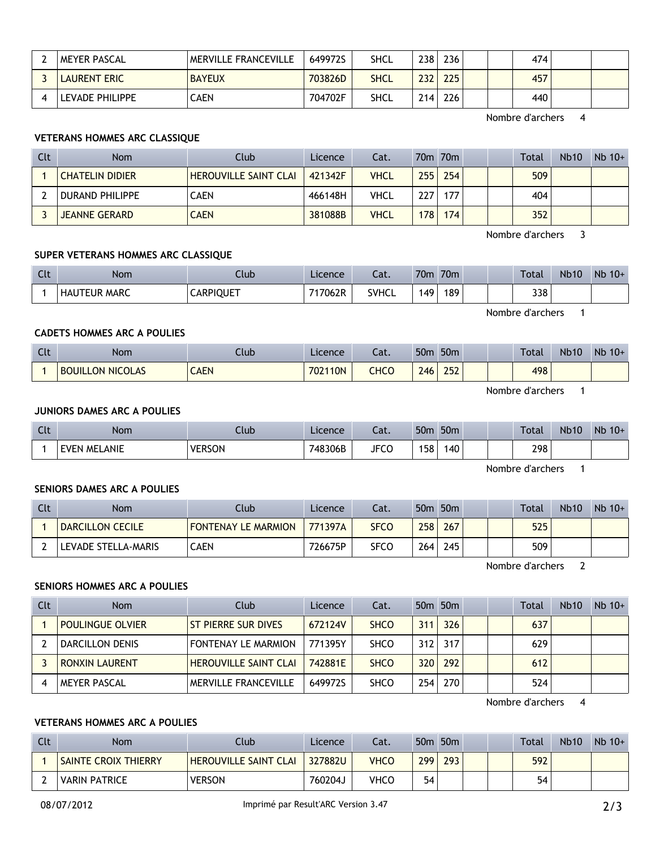| <b>MEYER PASCAL</b> | <b>MERVILLE FRANCEVILLE</b> | 649972S | SHCL | 238              | 236 |  | 474 |  |
|---------------------|-----------------------------|---------|------|------------------|-----|--|-----|--|
| LAURENT ERIC        | <b>BAYEUX</b>               | 703826D | SHCL | 232 <sub>1</sub> | 225 |  | 457 |  |
| ' EVADE PHILIPPE    | CAEN                        | 704702F | SHCL | 214              | 226 |  | 440 |  |

Nombre d'archers 4

# **VETERANS HOMMES ARC CLASSIQUE**

| Clt | Nom.                   | Club                         | Licence | Cat.        |     | 70m 70m          |  | Total | <b>Nb10</b> | $Nb 10+$ |
|-----|------------------------|------------------------------|---------|-------------|-----|------------------|--|-------|-------------|----------|
|     | <b>CHATELIN DIDIER</b> | <b>HEROUVILLE SAINT CLAI</b> | 421342F | <b>VHCL</b> | 255 | 254 <sub>1</sub> |  | 509   |             |          |
|     | DURAND PHILIPPE        | CAEN                         | 466148H | VHCL        | 227 | 177              |  | 404   |             |          |
|     | <b>JEANNE GERARD</b>   | <b>CAEN</b>                  | 381088B | <b>VHCL</b> | 178 | 174              |  | 352   |             |          |

Nombre d'archers 3

# **SUPER VETERANS HOMMES ARC CLASSIQUE**

| Clt | <b>Nom</b>          | Club             | Licence | $-1$<br>cal. | 70 <sub>m</sub> | 70 <sub>m</sub> |  | <b>Total</b> | <b>Nb10</b> | $Nb$ 10+ |
|-----|---------------------|------------------|---------|--------------|-----------------|-----------------|--|--------------|-------------|----------|
|     | <b>HAUTEUR MARC</b> | <b>CARPIQUET</b> | 717062R | SVHCL        | 149             | 189             |  | 338          |             |          |

Nombre d'archers 1

# **CADETS HOMMES ARC A POULIES**

| $\Gamma$ | <b>Nom</b>              | Llub.       | Licence | - 1<br>cal. | 50 <sub>m</sub> | 50 <sub>m</sub> |  | <b>Total</b> | <b>Nb10</b> | Nb<br>$10+$ |
|----------|-------------------------|-------------|---------|-------------|-----------------|-----------------|--|--------------|-------------|-------------|
|          | <b>BOUILLON NICOLAS</b> | <b>CAEN</b> | 702110N | CHCO        | 246             | 252             |  | 498          |             |             |

Nombre d'archers 1

## **JUNIORS DAMES ARC A POULIES**

| $\sim$<br>$\sim$ | <b>Nom</b>        | .lub          | Licence | $\sim$<br>cal. | 50 <sub>π</sub> | 50 <sub>m</sub> |  | Total | <b>Nb10</b> | <b>Nb</b><br>$10+$ |
|------------------|-------------------|---------------|---------|----------------|-----------------|-----------------|--|-------|-------------|--------------------|
|                  | LANIE<br>FVFN MFI | <b>VERSON</b> | 748306B | <b>JFCC</b>    | 158             | .40             |  | 298   |             |                    |

Nombre d'archers 1

## **SENIORS DAMES ARC A POULIES**

| Clt | Nom                 | Club.                      | Licence | Cat.        |     | $50m$ 50 $m$ |  | <b>Total</b> | <b>Nb10</b> | $Nb$ 10+ |
|-----|---------------------|----------------------------|---------|-------------|-----|--------------|--|--------------|-------------|----------|
|     | DARCILLON CECILE    | <b>FONTENAY LE MARMION</b> | 771397A | <b>SFCO</b> | 258 | 267          |  | 525          |             |          |
|     | LEVADE STELLA-MARIS | CAEN                       | 726675P | <b>SFCO</b> | 264 | 245          |  | 509          |             |          |

Nombre d'archers 2

#### **SENIORS HOMMES ARC A POULIES**

| Clt | <b>Nom</b>              | Club                         | Licence | Cat.        |                  | 50m 50m   |  | Total | <b>Nb10</b> | $Nb$ 10+ |
|-----|-------------------------|------------------------------|---------|-------------|------------------|-----------|--|-------|-------------|----------|
|     | <b>POULINGUE OLVIER</b> | ST PIERRE SUR DIVES          | 672124V | <b>SHCO</b> | 311              | 326       |  | 637   |             |          |
|     | DARCILLON DENIS         | <b>FONTENAY LE MARMION</b>   | 771395Y | <b>SHCO</b> |                  | $312$ 317 |  | 629   |             |          |
|     | <b>RONXIN LAURENT</b>   | <b>HEROUVILLE SAINT CLAI</b> | 742881E | <b>SHCO</b> | 320              | 292       |  | 612   |             |          |
|     | <b>MEYER PASCAL</b>     | <b>MERVILLE FRANCEVILLE</b>  | 649972S | <b>SHCO</b> | 254 <sub>1</sub> | 270       |  | 524   |             |          |

Nombre d'archers 4

## **VETERANS HOMMES ARC A POULIES**

| Clt | <b>Nom</b>                  | Club                  | Licence | Cat.        | 50 <sub>m</sub> | 50 <sub>m</sub> |  | <b>Total</b> | <b>Nb10</b> | $Nb 10+$ |
|-----|-----------------------------|-----------------------|---------|-------------|-----------------|-----------------|--|--------------|-------------|----------|
|     | <b>SAINTE CROIX THIERRY</b> | HEROUVILLE SAINT CLAI | 327882U | <b>VHCO</b> | 299             | 293             |  | 592          |             |          |
|     | <b>VARIN PATRICE</b>        | <b>VERSON</b>         | د760204 | VHCO        | 54              |                 |  | 54           |             |          |